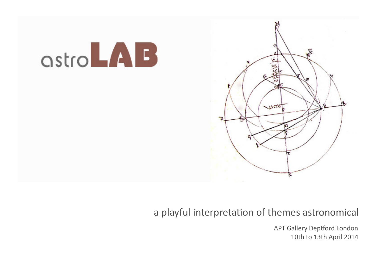

# a playful interpretation of themes astronomical

APT Gallery Deptford London 10th to 13th April 2014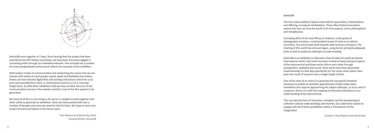

AstroLAB came together in 7 days. Since hearing that the project had been selected by the APT Gallery Committee, we have been furiously engaged in contacting artists through our extended networks. Also included are a number of recent postgraduates whose work reflects the concepts of the exhibition.

With today's modes of communication and networking this means that we can interact with artists at much greater speed, depth and flexibility than before. Artists can now transmit digital files and working instructions online for us to print and assemble their work, or send physical work to us on a 'next day' freight basis. As with other exhibitions that we have curated, the core of the communication process is the website and this is one of the first aspects to be generated.

The very inaccessibility of Space lends itself to speculation, interpretation, and differing conceptual inhabitations. These often fictional narratives extend into how we view the world in all of its aspects; social, philosophical and metaphysical.

Consisting often of the most flimsy of evidence; a few grains of photographic emulsion, a mathema�cal tower of cards or an ethical conviction, this arena lends itself towards wide horizons of enquiry. The charting of this world has only just begun, using heroic yet barely adequate tools as well as audacious attempts at understanding.

AstroLAB is an exhibition as laboratory that includes art works by twenty international artists. Each artist has been invited to freely interpret aspects of the astronomical and these works inform each other through juxtaposition, spatiality and sound. Some works have been generated experimentally in a few days specifically for this show, while others have been the result of research over a longer length of time.

But most of all this is a fun thing to do and it is a delight to work together with other artists to generate an exhibition. Some we have worked with over a number of decades and some we meet for the first time. We hope to move this project forward and extend it into future years.

> Paul Malone and Nicola Rae 2014 *Curator/Ar�sts: AstroLAB*

#### *AstroLAB*

One of the roles of an artist is to generate the conceptual freedoms necessary to enable an aesthetic apprehension of alternative ideas. Sometimes this requires approaching the subject obliquely, so as to catch it unawares. And so it is with the mapping of alternative directions in our understanding of the astronomical.

This can take the form of inversions, metaphor and the questioning of collective cultural understandings and theories. Our Laboratory aspires to engage with all of these possibilities within a 'Planetarium of the Imagination'.

*Curators: Paul Malone and Nicola Rae*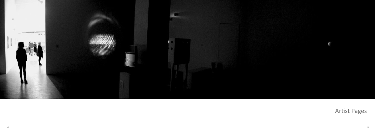

Artist Pages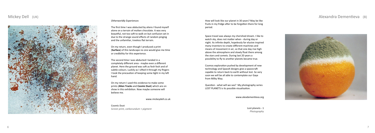### Alexandra Dementieva (B)

# Mickey Dell (UK)



#### *Otherworldly Experiences*

The first time I was abducted by aliens I found myself alone on a terrain of molten chocolate. It was very beautiful, not too soft to walk on but confusion set in due to the strange sound effects of random pinging and the unfamiliar, treeless flat terrain.

The second time I was abducted I landed in a completely different area - maybe even a different planet. Here the ground was soft as fesh fesh and of subtle colours. Luckily as I sifted it through my fingers I took the precaution of keeping some tight in my left hand.

On my return, even though I produced a print (**Surface**) of this landscape no one would give me time or credibility for this experience.

On my return I used this evidence to make some prints (**Alien Tracks** and **Cosmic Dust**) which are on show in this exhibition. Now maybe someone will believe me.

Cosmos exploration pushed by development of new technology and SpaceX designs give a spacecraft capable to return back to earth without lost. So very soon we will be all able to contemplate our Gaya from Milky Way.

Question - what will we see? My photography series LOST PLANETS is its possible visualisation.

www.alexdementieva.org

www.mickeydell.co.uk

**Cosmic Dust** *Screen print, carborundum + pigment* How will look like our planet in 30 years? May be like fruits in my fridge after to be forgotten there for long period.

Space travel was always my cherished dream. I like to watch sky, does not matter when - during day or night. Its infinite depth, hopelessly far elusive inspired many inventors to create different machines and means of movement in air, so that one day rise high above the atmosphere and slowly float there among the stars and comets. During last 20 years a possibility to fly to another planets became true.

> **Lost planets - 1** *Photography*

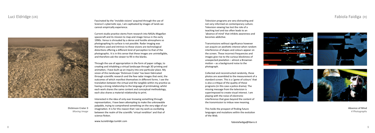### Luci Eldridge (UK)



Fascinated by the 'invisible visions' acquired through the use of Science's cybernetic eye, I am captivated by images of lands we cannot empirically experience.

Current studio prac�ce stems from research into NASAs Magellan spacecraft and its mission to map and image Venus in the early 1990s. Venus is shrouded by a dense and hostile atmosphere so photographing its surface is not possible. Radar imaging was therefore used and intrinsic to these visions are technological distortions offering a different kind of perception to that of the photographic. It is in this sense that these images are unintelligible, and therefore ask the viewer to fill in the blanks.

Through the use of appropriation in the form of paper collage, to creating and inhabiting a virtual landscape through 3D printing and animation, I have built up an inquiry into one particular place. My vision of this landscape 'Dickinson Crater' has been fabricated through scien�fic research and the few radar images that exist, the outcomes of which manifest themselves in different forms. I see the translation between the virtual and the tangible within my practice as having a strong relationship to the language of printmaking; whilst each work shares the same content and conceptual methodology, each also shares a material relationship to print.

Interested in the idea of only ever knowing something through representation, I have been attempting to make the unknowable palpable, trying to comprehend something on the very edge of our imagination. It is for this reason that I see my work as oscillating between the realm of the scientific 'virtual rendition' and that of science fiction.

www.lucieldridge.tumblr.com

**Dickinson Crater 3** *Moving Image*

## Fabiola Faidiga (It)

Television programs are very distracting and not very informed on contemporary culture. Television viewing has lost the role of a teaching tool and too often leads to an 'absence of mind' that inhibits awareness and becomes addictive.

Transmissions without significance however can acquire an aesthetic interest when random interference of shapes and colours appear on the screen. These incorrect frequencies and images give rise to the curious blockiness of  $unexpected pixelation - almost a Brownian$ motion – as a background noise to the photograph.

Collected and reconstructed randomly, these photos are assembled to the measurement of a standard screen. This is a 'game of colours' that is also a critique of the quality of these programs (in this case a police drama). The missing message from the television is superimposed to create visual interest. I am playing with the noise of electronic interference that goes beyond the content of the transmission to imbue new meaning.

This holds the prospect of finding future languages and mutations within the evolution of the Web.







fabiolafaidiga@libero.it



**Absence of Mind** *4 Pho tographs*